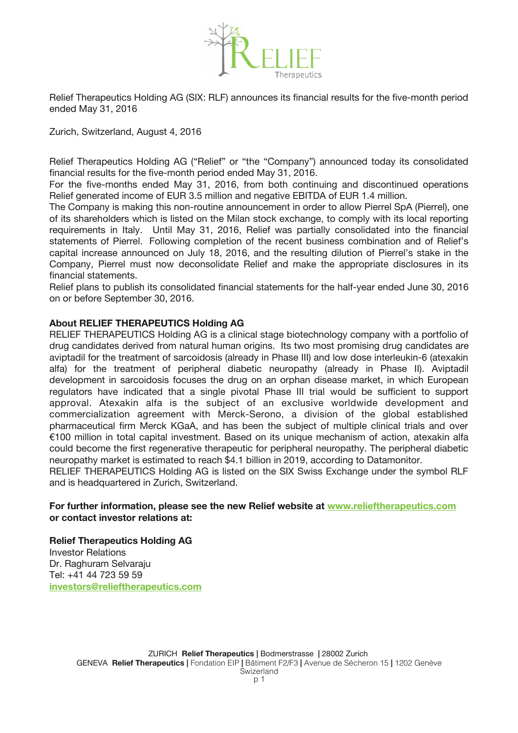

Relief Therapeutics Holding AG (SIX: RLF) announces its fnancial results for the fve-month period ended May 31, 2016

Zurich, Switzerland, August 4, 2016

Relief Therapeutics Holding AG ("Relief" or "the "Company") announced today its consolidated financial results for the five-month period ended May 31, 2016.

For the five-months ended May 31, 2016, from both continuing and discontinued operations Relief generated income of EUR 3.5 million and negative EBITDA of EUR 1.4 million.

The Company is making this non-routine announcement in order to allow Pierrel SpA (Pierrel), one of its shareholders which is listed on the Milan stock exchange, to comply with its local reporting requirements in Italy. Until May 31, 2016, Relief was partially consolidated into the fnancial statements of Pierrel. Following completion of the recent business combination and of Relief's capital increase announced on July 18, 2016, and the resulting dilution of Pierrel's stake in the Company, Pierrel must now deconsolidate Relief and make the appropriate disclosures in its financial statements.

Relief plans to publish its consolidated fnancial statements for the half-year ended June 30, 2016 on or before September 30, 2016.

## **About RELIEF THERAPEUTICS Holding AG**

RELIEF THERAPEUTICS Holding AG is a clinical stage biotechnology company with a portfolio of drug candidates derived from natural human origins. Its two most promising drug candidates are aviptadil for the treatment of sarcoidosis (already in Phase III) and low dose interleukin-6 (atexakin alfa) for the treatment of peripheral diabetic neuropathy (already in Phase II). Aviptadil development in sarcoidosis focuses the drug on an orphan disease market, in which European regulators have indicated that a single pivotal Phase III trial would be sufficient to support approval. Atexakin alfa is the subject of an exclusive worldwide development and commercialization agreement with Merck-Serono, a division of the global established pharmaceutical frm Merck KGaA, and has been the subject of multiple clinical trials and over €100 million in total capital investment. Based on its unique mechanism of action, atexakin alfa could become the first regenerative therapeutic for peripheral neuropathy. The peripheral diabetic neuropathy market is estimated to reach \$4.1 billion in 2019, according to Datamonitor.

RELIEF THERAPEUTICS Holding AG is listed on the SIX Swiss Exchange under the symbol RLF and is headquartered in Zurich, Switzerland.

## **For further information, please see the new Relief website at [www.relieftherapeutics.com](http://www.relieftherapeutics.com/) or contact investor relations at:**

**Relief Therapeutics Holding AG** Investor Relations Dr. Raghuram Selvaraju Tel: +41 44 723 59 59 **[investors@relieftherapeutics.com](mailto:investors@relieftherapeutics.com)**